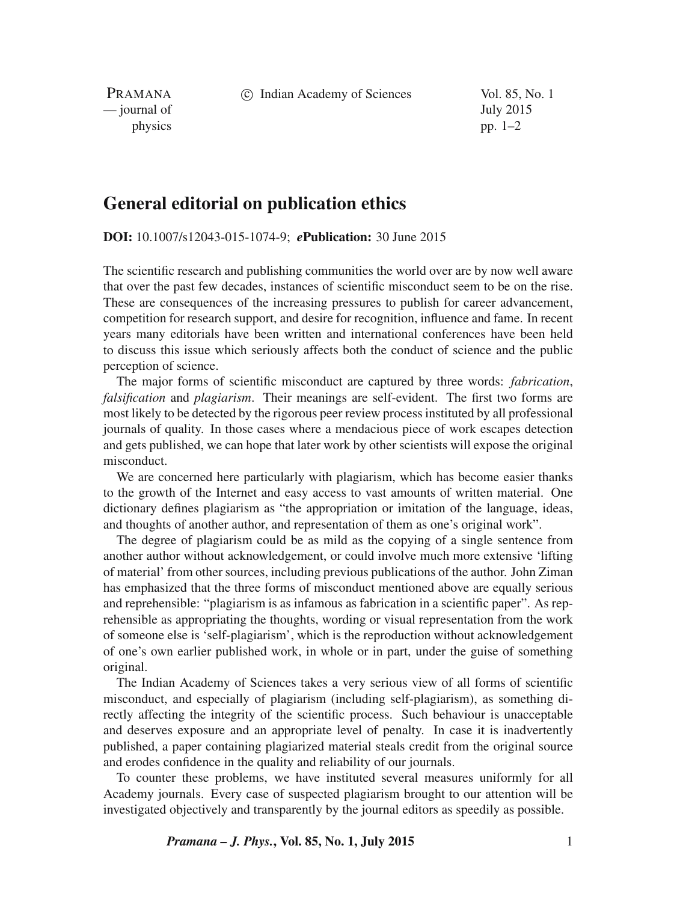c Indian Academy of Sciences Vol. 85, No. 1

PRAMANA — journal of July 2015 physics  $pp. 1-2$ 

## **General editorial on publication ethics**

**DOI:** 10.1007/s12043-015-1074-9; *e***Publication:** 30 June 2015

The scientific research and publishing communities the world over are by now well aware that over the past few decades, instances of scientific misconduct seem to be on the rise. These are consequences of the increasing pressures to publish for career advancement, competition for research support, and desire for recognition, influence and fame. In recent years many editorials have been written and international conferences have been held to discuss this issue which seriously affects both the conduct of science and the public perception of science.

The major forms of scientific misconduct are captured by three words: *fabrication*, *falsification* and *plagiarism*. Their meanings are self-evident. The first two forms are most likely to be detected by the rigorous peer review process instituted by all professional journals of quality. In those cases where a mendacious piece of work escapes detection and gets published, we can hope that later work by other scientists will expose the original misconduct.

We are concerned here particularly with plagiarism, which has become easier thanks to the growth of the Internet and easy access to vast amounts of written material. One dictionary defines plagiarism as "the appropriation or imitation of the language, ideas, and thoughts of another author, and representation of them as one's original work".

The degree of plagiarism could be as mild as the copying of a single sentence from another author without acknowledgement, or could involve much more extensive 'lifting of material' from other sources, including previous publications of the author. John Ziman has emphasized that the three forms of misconduct mentioned above are equally serious and reprehensible: "plagiarism is as infamous as fabrication in a scientific paper". As reprehensible as appropriating the thoughts, wording or visual representation from the work of someone else is 'self-plagiarism', which is the reproduction without acknowledgement of one's own earlier published work, in whole or in part, under the guise of something original.

The Indian Academy of Sciences takes a very serious view of all forms of scientific misconduct, and especially of plagiarism (including self-plagiarism), as something directly affecting the integrity of the scientific process. Such behaviour is unacceptable and deserves exposure and an appropriate level of penalty. In case it is inadvertently published, a paper containing plagiarized material steals credit from the original source and erodes confidence in the quality and reliability of our journals.

To counter these problems, we have instituted several measures uniformly for all Academy journals. Every case of suspected plagiarism brought to our attention will be investigated objectively and transparently by the journal editors as speedily as possible.